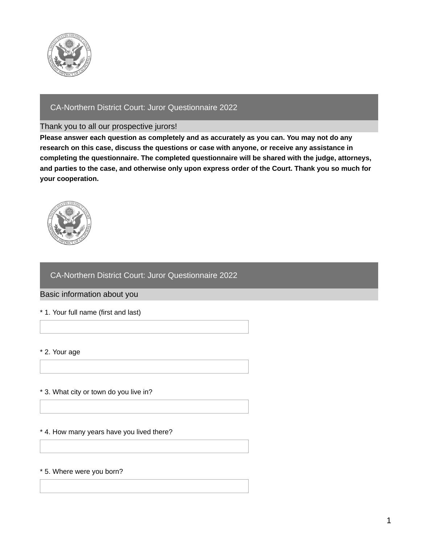

# CA-Northern District Court: Juror Questionnaire 2022

## Thank you to all our prospective jurors!

**Please answer each question as completely and as accurately as you can. You may not do any research on this case, discuss the questions or case with anyone, or receive any assistance in completing the questionnaire. The completed questionnaire will be shared with the judge, attorneys,** and parties to the case, and otherwise only upon express order of the Court. Thank you so much for **your cooperation.**



# CA-Northern District Court: Juror Questionnaire 2022

## Basic information about you

\* 1. Your full name (first and last)

\* 2. Your age

## \* 3. What city or town do you live in?

### \* 4. How many years have you lived there?

### \* 5. Where were you born?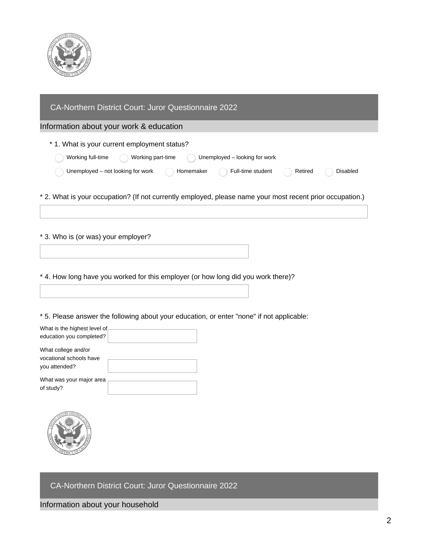

| CA-Northern District Court: Juror Questionnaire 2022                                                                                                                                                                                                              |
|-------------------------------------------------------------------------------------------------------------------------------------------------------------------------------------------------------------------------------------------------------------------|
| Information about your work & education                                                                                                                                                                                                                           |
| * 1. What is your current employment status?<br>Working full-time<br>Working part-time<br>Unemployed - looking for work<br>Unemployed - not looking for work<br>Full-time student<br>Homemaker<br><b>Disabled</b><br>Retired                                      |
| * 2. What is your occupation? (If not currently employed, please name your most recent prior occupation.)                                                                                                                                                         |
| * 3. Who is (or was) your employer?                                                                                                                                                                                                                               |
| * 4. How long have you worked for this employer (or how long did you work there)?                                                                                                                                                                                 |
| * 5. Please answer the following about your education, or enter "none" if not applicable:<br>What is the highest level of<br>education you completed?<br>What college and/or<br>vocational schools have<br>you attended?<br>What was your major area<br>of study? |
|                                                                                                                                                                                                                                                                   |

CA-Northern District Court: Juror Questionnaire 2022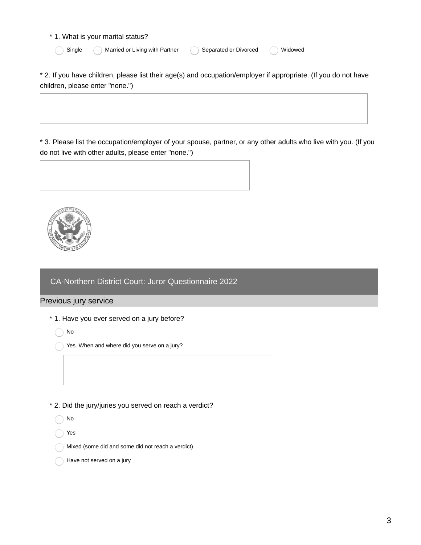#### \* 1. What is your marital status?

|  | Single |  |
|--|--------|--|
|  |        |  |

) Married or Living with Partner  $\bigcap$  Separated or Divorced  $\bigcap$  Widowed

\* 2. If you have children, please list their age(s) and occupation/employer if appropriate. (If you do not have children, please enter "none.")

\* 3. Please list the occupation/employer of your spouse, partner, or any other adults who live with you. (If you do not live with other adults, please enter "none.")





CA-Northern District Court: Juror Questionnaire 2022

# Previous jury service

- \* 1. Have you ever served on a jury before?
	- No
	- Yes. When and where did you serve on a jury?
- \* 2. Did the jury/juries you served on reach a verdict?

No

Yes

- Mixed (some did and some did not reach a verdict)
- Have not served on a jury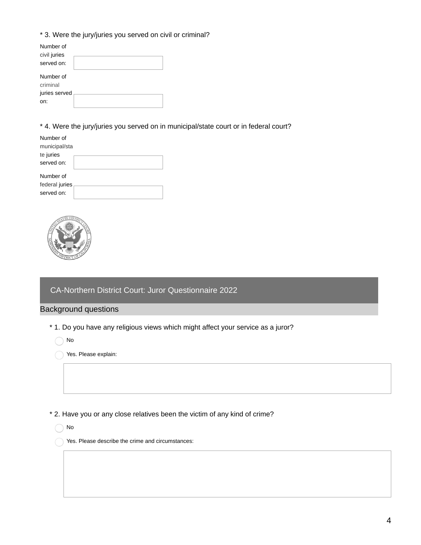# \* 3. Were the jury/juries you served on civil or criminal?

| Number of     |  |
|---------------|--|
| civil juries  |  |
| served on:    |  |
| Number of     |  |
| criminal      |  |
| juries served |  |
| on:           |  |

\* 4. Were the jury/juries you served on in municipal/state court or in federal court?

| Number of<br>municipal/sta |  |
|----------------------------|--|
|                            |  |
| te juries                  |  |
|                            |  |
| served on:                 |  |
|                            |  |
| Number of                  |  |
|                            |  |
| federal juries             |  |
|                            |  |
| served on:                 |  |
|                            |  |



## CA-Northern District Court: Juror Questionnaire 2022

## Background questions

\* 1. Do you have any religious views which might affect your service as a juror?

No

Yes. Please explain:

\* 2. Have you or any close relatives been the victim of any kind of crime?

◯ No

Yes. Please describe the crime and circumstances: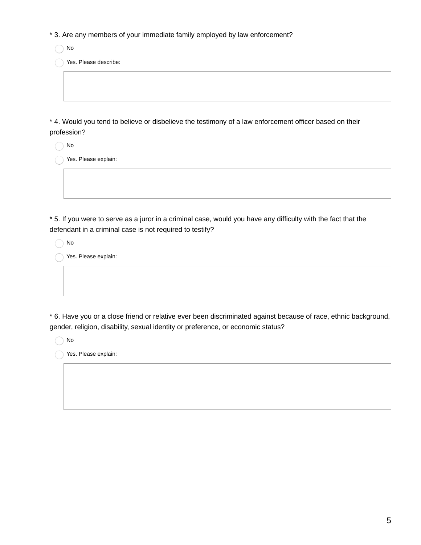\* 3. Are any members of your immediate family employed by law enforcement?

◯ No

Yes. Please describe:

\* 4. Would you tend to believe or disbelieve the testimony of a law enforcement officer based on their profession?

No

Yes. Please explain:

\* 5. If you were to serve as a juror in a criminal case, would you have any difficulty with the fact that the defendant in a criminal case is not required to testify?

No

Yes. Please explain:

\* 6. Have you or a close friend or relative ever been discriminated against because of race, ethnic background, gender, religion, disability, sexual identity or preference, or economic status?

◯ No

Yes. Please explain: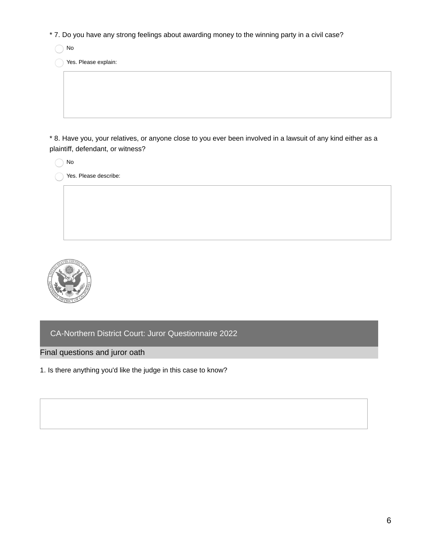- \* 7. Do you have any strong feelings about awarding money to the winning party in a civil case?
	- ◯ No

Yes. Please explain:

\* 8. Have you, your relatives, or anyone close to you ever been involved in a lawsuit of any kind either as a plaintiff, defendant, or witness?

|  | N۵ |
|--|----|
|  |    |

Yes. Please describe:



CA-Northern District Court: Juror Questionnaire 2022

Final questions and juror oath

1. Is there anything you'd like the judge in this case to know?